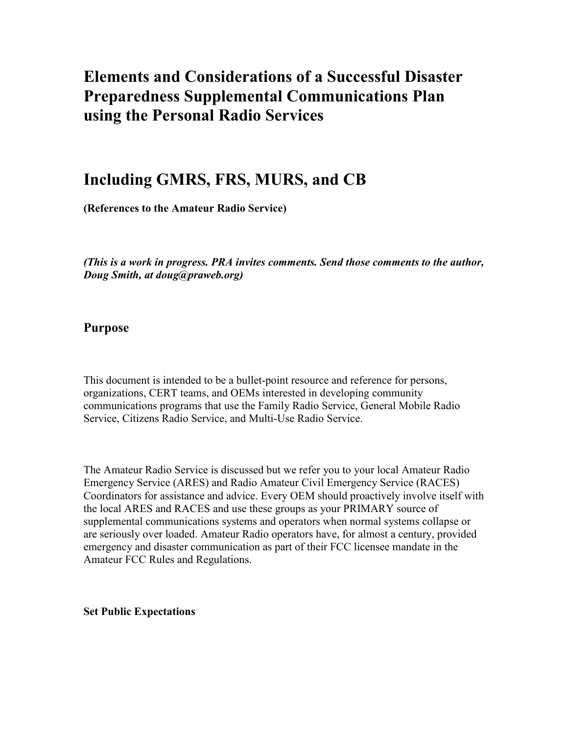# Elements and Considerations of a Successful Disaster Preparedness Supplemental Communications Plan using the Personal Radio Services

## Including GMRS, FRS, MURS, and CB

(References to the Amateur Radio Service)

(This is a work in progress. PRA invites comments. Send those comments to the author, Doug Smith, at doug@praweb.org)

## Purpose

This document is intended to be a bullet-point resource and reference for persons, organizations, CERT teams, and OEMs interested in developing community communications programs that use the Family Radio Service, General Mobile Radio Service, Citizens Radio Service, and Multi-Use Radio Service.

The Amateur Radio Service is discussed but we refer you to your local Amateur Radio Emergency Service (ARES) and Radio Amateur Civil Emergency Service (RACES) Coordinators for assistance and advice. Every OEM should proactively involve itself with the local ARES and RACES and use these groups as your PRIMARY source of supplemental communications systems and operators when normal systems collapse or are seriously over loaded. Amateur Radio operators have, for almost a century, provided emergency and disaster communication as part of their FCC licensee mandate in the Amateur FCC Rules and Regulations.

Set Public Expectations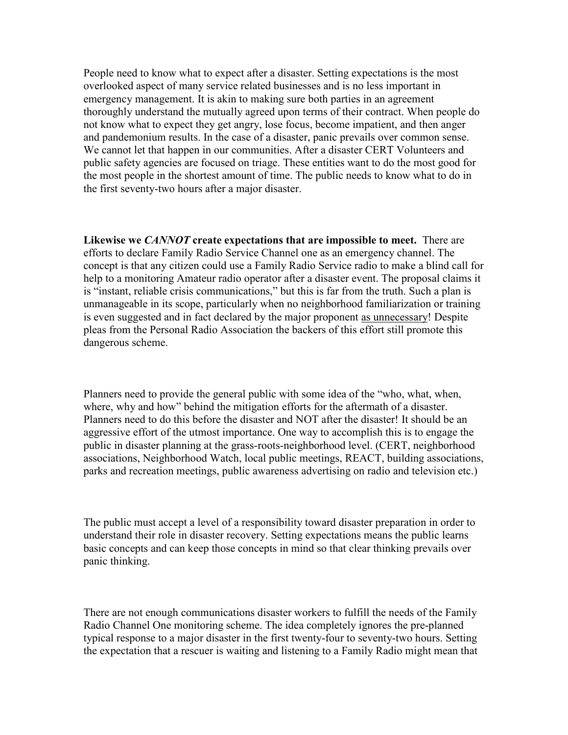People need to know what to expect after a disaster. Setting expectations is the most overlooked aspect of many service related businesses and is no less important in emergency management. It is akin to making sure both parties in an agreement thoroughly understand the mutually agreed upon terms of their contract. When people do not know what to expect they get angry, lose focus, become impatient, and then anger and pandemonium results. In the case of a disaster, panic prevails over common sense. We cannot let that happen in our communities. After a disaster CERT Volunteers and public safety agencies are focused on triage. These entities want to do the most good for the most people in the shortest amount of time. The public needs to know what to do in the first seventy-two hours after a major disaster.

Likewise we *CANNOT* create expectations that are impossible to meet. There are efforts to declare Family Radio Service Channel one as an emergency channel. The concept is that any citizen could use a Family Radio Service radio to make a blind call for help to a monitoring Amateur radio operator after a disaster event. The proposal claims it is "instant, reliable crisis communications," but this is far from the truth. Such a plan is unmanageable in its scope, particularly when no neighborhood familiarization or training is even suggested and in fact declared by the major proponent as unnecessary! Despite pleas from the Personal Radio Association the backers of this effort still promote this dangerous scheme.

Planners need to provide the general public with some idea of the "who, what, when, where, why and how" behind the mitigation efforts for the aftermath of a disaster. Planners need to do this before the disaster and NOT after the disaster! It should be an aggressive effort of the utmost importance. One way to accomplish this is to engage the public in disaster planning at the grass-roots-neighborhood level. (CERT, neighborhood associations, Neighborhood Watch, local public meetings, REACT, building associations, parks and recreation meetings, public awareness advertising on radio and television etc.)

The public must accept a level of a responsibility toward disaster preparation in order to understand their role in disaster recovery. Setting expectations means the public learns basic concepts and can keep those concepts in mind so that clear thinking prevails over panic thinking.

There are not enough communications disaster workers to fulfill the needs of the Family Radio Channel One monitoring scheme. The idea completely ignores the pre-planned typical response to a major disaster in the first twenty-four to seventy-two hours. Setting the expectation that a rescuer is waiting and listening to a Family Radio might mean that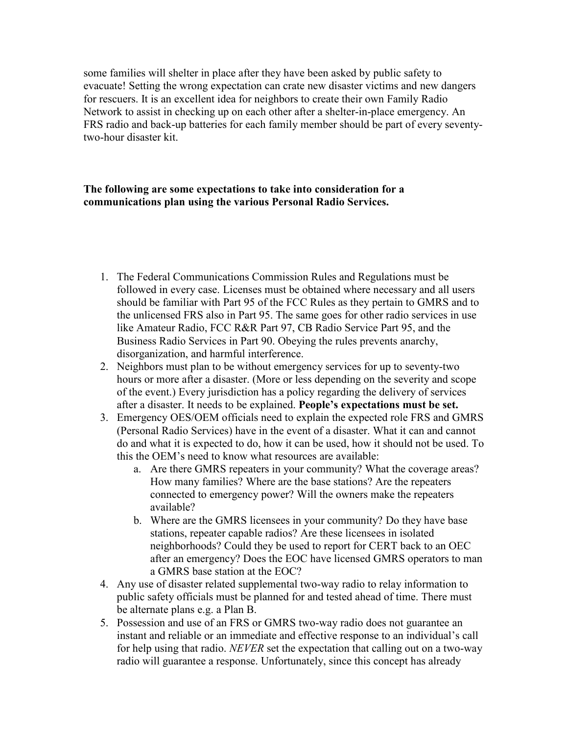some families will shelter in place after they have been asked by public safety to evacuate! Setting the wrong expectation can crate new disaster victims and new dangers for rescuers. It is an excellent idea for neighbors to create their own Family Radio Network to assist in checking up on each other after a shelter-in-place emergency. An FRS radio and back-up batteries for each family member should be part of every seventytwo-hour disaster kit.

## The following are some expectations to take into consideration for a communications plan using the various Personal Radio Services.

- 1. The Federal Communications Commission Rules and Regulations must be followed in every case. Licenses must be obtained where necessary and all users should be familiar with Part 95 of the FCC Rules as they pertain to GMRS and to the unlicensed FRS also in Part 95. The same goes for other radio services in use like Amateur Radio, FCC R&R Part 97, CB Radio Service Part 95, and the Business Radio Services in Part 90. Obeying the rules prevents anarchy, disorganization, and harmful interference.
- 2. Neighbors must plan to be without emergency services for up to seventy-two hours or more after a disaster. (More or less depending on the severity and scope of the event.) Every jurisdiction has a policy regarding the delivery of services after a disaster. It needs to be explained. People's expectations must be set.
- 3. Emergency OES/OEM officials need to explain the expected role FRS and GMRS (Personal Radio Services) have in the event of a disaster. What it can and cannot do and what it is expected to do, how it can be used, how it should not be used. To this the OEM's need to know what resources are available:
	- a. Are there GMRS repeaters in your community? What the coverage areas? How many families? Where are the base stations? Are the repeaters connected to emergency power? Will the owners make the repeaters available?
	- b. Where are the GMRS licensees in your community? Do they have base stations, repeater capable radios? Are these licensees in isolated neighborhoods? Could they be used to report for CERT back to an OEC after an emergency? Does the EOC have licensed GMRS operators to man a GMRS base station at the EOC?
- 4. Any use of disaster related supplemental two-way radio to relay information to public safety officials must be planned for and tested ahead of time. There must be alternate plans e.g. a Plan B.
- 5. Possession and use of an FRS or GMRS two-way radio does not guarantee an instant and reliable or an immediate and effective response to an individual's call for help using that radio. NEVER set the expectation that calling out on a two-way radio will guarantee a response. Unfortunately, since this concept has already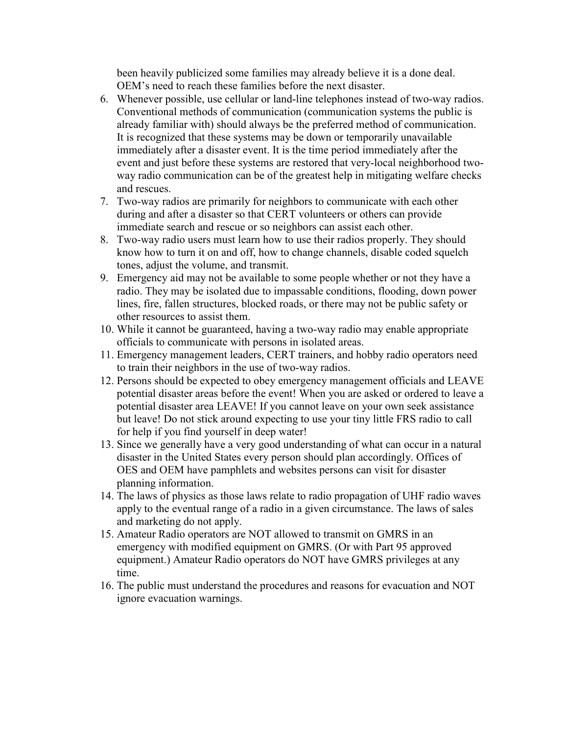been heavily publicized some families may already believe it is a done deal. OEM's need to reach these families before the next disaster.

- 6. Whenever possible, use cellular or land-line telephones instead of two-way radios. Conventional methods of communication (communication systems the public is already familiar with) should always be the preferred method of communication. It is recognized that these systems may be down or temporarily unavailable immediately after a disaster event. It is the time period immediately after the event and just before these systems are restored that very-local neighborhood twoway radio communication can be of the greatest help in mitigating welfare checks and rescues.
- 7. Two-way radios are primarily for neighbors to communicate with each other during and after a disaster so that CERT volunteers or others can provide immediate search and rescue or so neighbors can assist each other.
- 8. Two-way radio users must learn how to use their radios properly. They should know how to turn it on and off, how to change channels, disable coded squelch tones, adjust the volume, and transmit.
- 9. Emergency aid may not be available to some people whether or not they have a radio. They may be isolated due to impassable conditions, flooding, down power lines, fire, fallen structures, blocked roads, or there may not be public safety or other resources to assist them.
- 10. While it cannot be guaranteed, having a two-way radio may enable appropriate officials to communicate with persons in isolated areas.
- 11. Emergency management leaders, CERT trainers, and hobby radio operators need to train their neighbors in the use of two-way radios.
- 12. Persons should be expected to obey emergency management officials and LEAVE potential disaster areas before the event! When you are asked or ordered to leave a potential disaster area LEAVE! If you cannot leave on your own seek assistance but leave! Do not stick around expecting to use your tiny little FRS radio to call for help if you find yourself in deep water!
- 13. Since we generally have a very good understanding of what can occur in a natural disaster in the United States every person should plan accordingly. Offices of OES and OEM have pamphlets and websites persons can visit for disaster planning information.
- 14. The laws of physics as those laws relate to radio propagation of UHF radio waves apply to the eventual range of a radio in a given circumstance. The laws of sales and marketing do not apply.
- 15. Amateur Radio operators are NOT allowed to transmit on GMRS in an emergency with modified equipment on GMRS. (Or with Part 95 approved equipment.) Amateur Radio operators do NOT have GMRS privileges at any time.
- 16. The public must understand the procedures and reasons for evacuation and NOT ignore evacuation warnings.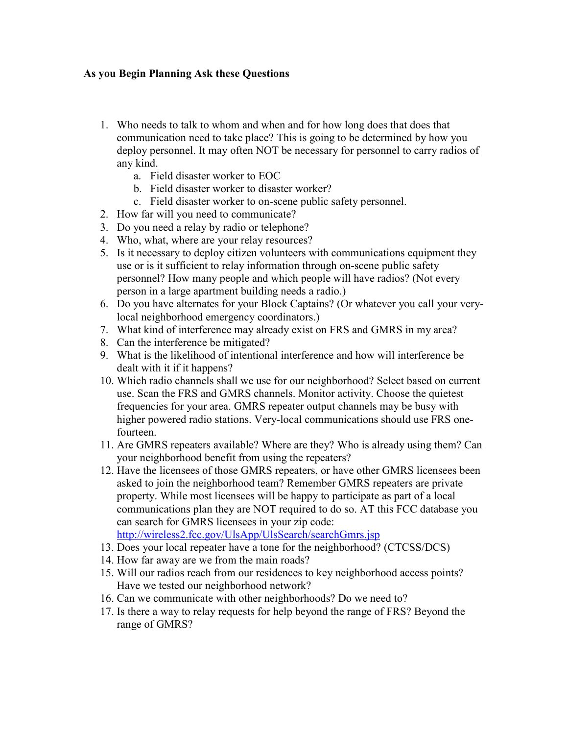## As you Begin Planning Ask these Questions

- 1. Who needs to talk to whom and when and for how long does that does that communication need to take place? This is going to be determined by how you deploy personnel. It may often NOT be necessary for personnel to carry radios of any kind.
	- a. Field disaster worker to EOC
	- b. Field disaster worker to disaster worker?
	- c. Field disaster worker to on-scene public safety personnel.
- 2. How far will you need to communicate?
- 3. Do you need a relay by radio or telephone?
- 4. Who, what, where are your relay resources?
- 5. Is it necessary to deploy citizen volunteers with communications equipment they use or is it sufficient to relay information through on-scene public safety personnel? How many people and which people will have radios? (Not every person in a large apartment building needs a radio.)
- 6. Do you have alternates for your Block Captains? (Or whatever you call your verylocal neighborhood emergency coordinators.)
- 7. What kind of interference may already exist on FRS and GMRS in my area?
- 8. Can the interference be mitigated?
- 9. What is the likelihood of intentional interference and how will interference be dealt with it if it happens?
- 10. Which radio channels shall we use for our neighborhood? Select based on current use. Scan the FRS and GMRS channels. Monitor activity. Choose the quietest frequencies for your area. GMRS repeater output channels may be busy with higher powered radio stations. Very-local communications should use FRS onefourteen.
- 11. Are GMRS repeaters available? Where are they? Who is already using them? Can your neighborhood benefit from using the repeaters?
- 12. Have the licensees of those GMRS repeaters, or have other GMRS licensees been asked to join the neighborhood team? Remember GMRS repeaters are private property. While most licensees will be happy to participate as part of a local communications plan they are NOT required to do so. AT this FCC database you can search for GMRS licensees in your zip code: http://wireless2.fcc.gov/UlsApp/UlsSearch/searchGmrs.jsp
- 
- 13. Does your local repeater have a tone for the neighborhood? (CTCSS/DCS)
- 14. How far away are we from the main roads?
- 15. Will our radios reach from our residences to key neighborhood access points? Have we tested our neighborhood network?
- 16. Can we communicate with other neighborhoods? Do we need to?
- 17. Is there a way to relay requests for help beyond the range of FRS? Beyond the range of GMRS?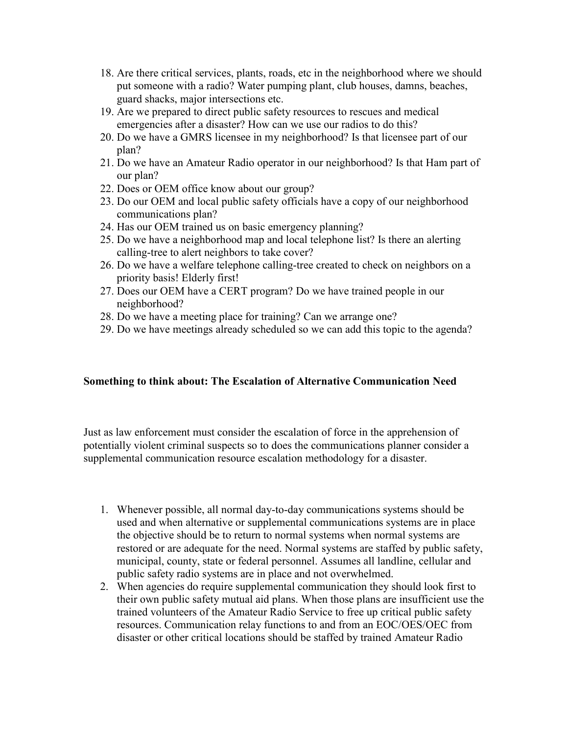- 18. Are there critical services, plants, roads, etc in the neighborhood where we should put someone with a radio? Water pumping plant, club houses, damns, beaches, guard shacks, major intersections etc.
- 19. Are we prepared to direct public safety resources to rescues and medical emergencies after a disaster? How can we use our radios to do this?
- 20. Do we have a GMRS licensee in my neighborhood? Is that licensee part of our plan?
- 21. Do we have an Amateur Radio operator in our neighborhood? Is that Ham part of our plan?
- 22. Does or OEM office know about our group?
- 23. Do our OEM and local public safety officials have a copy of our neighborhood communications plan?
- 24. Has our OEM trained us on basic emergency planning?
- 25. Do we have a neighborhood map and local telephone list? Is there an alerting calling-tree to alert neighbors to take cover?
- 26. Do we have a welfare telephone calling-tree created to check on neighbors on a priority basis! Elderly first!
- 27. Does our OEM have a CERT program? Do we have trained people in our neighborhood?
- 28. Do we have a meeting place for training? Can we arrange one?
- 29. Do we have meetings already scheduled so we can add this topic to the agenda?

#### Something to think about: The Escalation of Alternative Communication Need

Just as law enforcement must consider the escalation of force in the apprehension of potentially violent criminal suspects so to does the communications planner consider a supplemental communication resource escalation methodology for a disaster.

- 1. Whenever possible, all normal day-to-day communications systems should be used and when alternative or supplemental communications systems are in place the objective should be to return to normal systems when normal systems are restored or are adequate for the need. Normal systems are staffed by public safety, municipal, county, state or federal personnel. Assumes all landline, cellular and public safety radio systems are in place and not overwhelmed.
- 2. When agencies do require supplemental communication they should look first to their own public safety mutual aid plans. When those plans are insufficient use the trained volunteers of the Amateur Radio Service to free up critical public safety resources. Communication relay functions to and from an EOC/OES/OEC from disaster or other critical locations should be staffed by trained Amateur Radio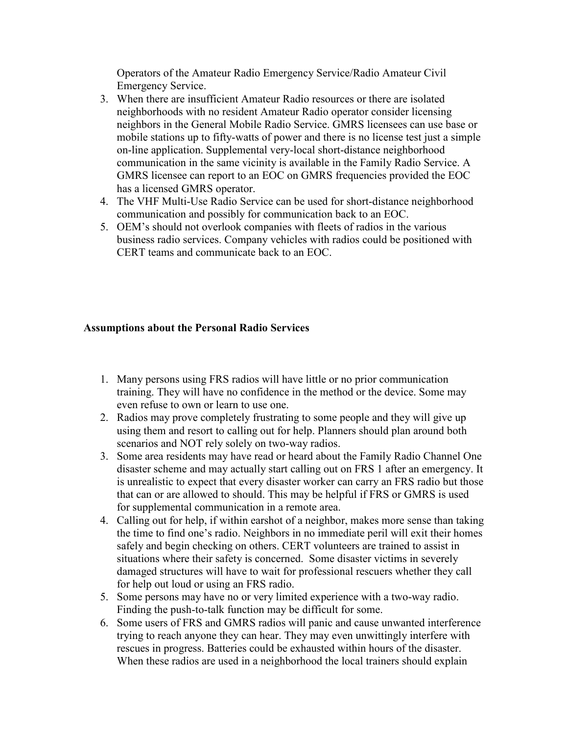Operators of the Amateur Radio Emergency Service/Radio Amateur Civil Emergency Service.

- 3. When there are insufficient Amateur Radio resources or there are isolated neighborhoods with no resident Amateur Radio operator consider licensing neighbors in the General Mobile Radio Service. GMRS licensees can use base or mobile stations up to fifty-watts of power and there is no license test just a simple on-line application. Supplemental very-local short-distance neighborhood communication in the same vicinity is available in the Family Radio Service. A GMRS licensee can report to an EOC on GMRS frequencies provided the EOC has a licensed GMRS operator.
- 4. The VHF Multi-Use Radio Service can be used for short-distance neighborhood communication and possibly for communication back to an EOC.
- 5. OEM's should not overlook companies with fleets of radios in the various business radio services. Company vehicles with radios could be positioned with CERT teams and communicate back to an EOC.

### Assumptions about the Personal Radio Services

- 1. Many persons using FRS radios will have little or no prior communication training. They will have no confidence in the method or the device. Some may even refuse to own or learn to use one.
- 2. Radios may prove completely frustrating to some people and they will give up using them and resort to calling out for help. Planners should plan around both scenarios and NOT rely solely on two-way radios.
- 3. Some area residents may have read or heard about the Family Radio Channel One disaster scheme and may actually start calling out on FRS 1 after an emergency. It is unrealistic to expect that every disaster worker can carry an FRS radio but those that can or are allowed to should. This may be helpful if FRS or GMRS is used for supplemental communication in a remote area.
- 4. Calling out for help, if within earshot of a neighbor, makes more sense than taking the time to find one's radio. Neighbors in no immediate peril will exit their homes safely and begin checking on others. CERT volunteers are trained to assist in situations where their safety is concerned. Some disaster victims in severely damaged structures will have to wait for professional rescuers whether they call for help out loud or using an FRS radio.
- 5. Some persons may have no or very limited experience with a two-way radio. Finding the push-to-talk function may be difficult for some.
- 6. Some users of FRS and GMRS radios will panic and cause unwanted interference trying to reach anyone they can hear. They may even unwittingly interfere with rescues in progress. Batteries could be exhausted within hours of the disaster. When these radios are used in a neighborhood the local trainers should explain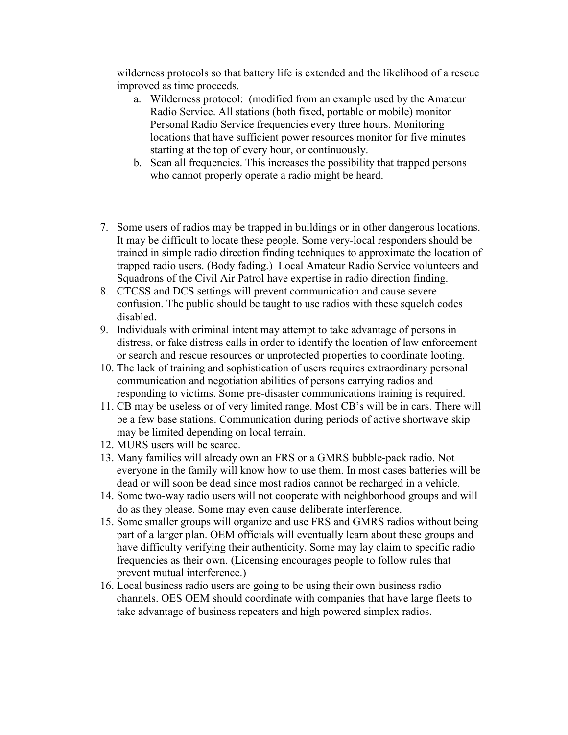wilderness protocols so that battery life is extended and the likelihood of a rescue improved as time proceeds.

- a. Wilderness protocol: (modified from an example used by the Amateur Radio Service. All stations (both fixed, portable or mobile) monitor Personal Radio Service frequencies every three hours. Monitoring locations that have sufficient power resources monitor for five minutes starting at the top of every hour, or continuously.
- b. Scan all frequencies. This increases the possibility that trapped persons who cannot properly operate a radio might be heard.
- 7. Some users of radios may be trapped in buildings or in other dangerous locations. It may be difficult to locate these people. Some very-local responders should be trained in simple radio direction finding techniques to approximate the location of trapped radio users. (Body fading.) Local Amateur Radio Service volunteers and Squadrons of the Civil Air Patrol have expertise in radio direction finding.
- 8. CTCSS and DCS settings will prevent communication and cause severe confusion. The public should be taught to use radios with these squelch codes disabled.
- 9. Individuals with criminal intent may attempt to take advantage of persons in distress, or fake distress calls in order to identify the location of law enforcement or search and rescue resources or unprotected properties to coordinate looting.
- 10. The lack of training and sophistication of users requires extraordinary personal communication and negotiation abilities of persons carrying radios and responding to victims. Some pre-disaster communications training is required.
- 11. CB may be useless or of very limited range. Most CB's will be in cars. There will be a few base stations. Communication during periods of active shortwave skip may be limited depending on local terrain.
- 12. MURS users will be scarce.
- 13. Many families will already own an FRS or a GMRS bubble-pack radio. Not everyone in the family will know how to use them. In most cases batteries will be dead or will soon be dead since most radios cannot be recharged in a vehicle.
- 14. Some two-way radio users will not cooperate with neighborhood groups and will do as they please. Some may even cause deliberate interference.
- 15. Some smaller groups will organize and use FRS and GMRS radios without being part of a larger plan. OEM officials will eventually learn about these groups and have difficulty verifying their authenticity. Some may lay claim to specific radio frequencies as their own. (Licensing encourages people to follow rules that prevent mutual interference.)
- 16. Local business radio users are going to be using their own business radio channels. OES OEM should coordinate with companies that have large fleets to take advantage of business repeaters and high powered simplex radios.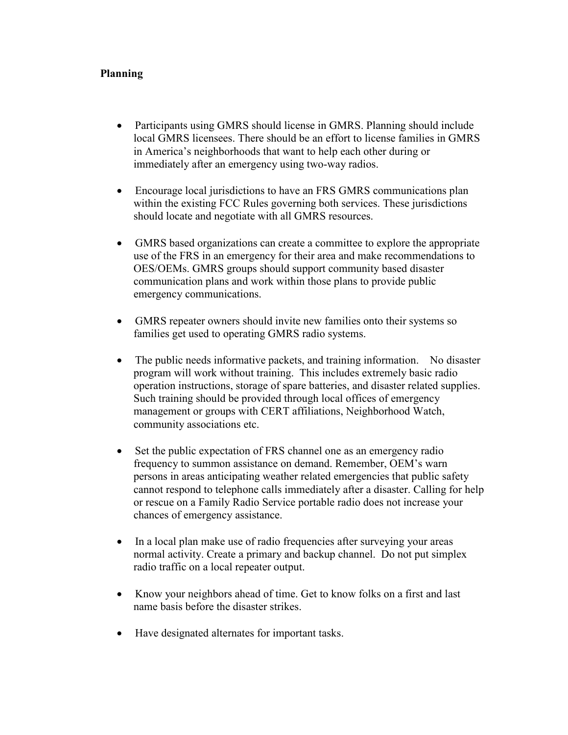## Planning

- Participants using GMRS should license in GMRS. Planning should include local GMRS licensees. There should be an effort to license families in GMRS in America's neighborhoods that want to help each other during or immediately after an emergency using two-way radios.
- Encourage local jurisdictions to have an FRS GMRS communications plan within the existing FCC Rules governing both services. These jurisdictions should locate and negotiate with all GMRS resources.
- GMRS based organizations can create a committee to explore the appropriate use of the FRS in an emergency for their area and make recommendations to OES/OEMs. GMRS groups should support community based disaster communication plans and work within those plans to provide public emergency communications.
- GMRS repeater owners should invite new families onto their systems so families get used to operating GMRS radio systems.
- The public needs informative packets, and training information. No disaster program will work without training. This includes extremely basic radio operation instructions, storage of spare batteries, and disaster related supplies. Such training should be provided through local offices of emergency management or groups with CERT affiliations, Neighborhood Watch, community associations etc.
- Set the public expectation of FRS channel one as an emergency radio frequency to summon assistance on demand. Remember, OEM's warn persons in areas anticipating weather related emergencies that public safety cannot respond to telephone calls immediately after a disaster. Calling for help or rescue on a Family Radio Service portable radio does not increase your chances of emergency assistance.
- In a local plan make use of radio frequencies after surveying your areas normal activity. Create a primary and backup channel. Do not put simplex radio traffic on a local repeater output.
- Know your neighbors ahead of time. Get to know folks on a first and last name basis before the disaster strikes.
- Have designated alternates for important tasks.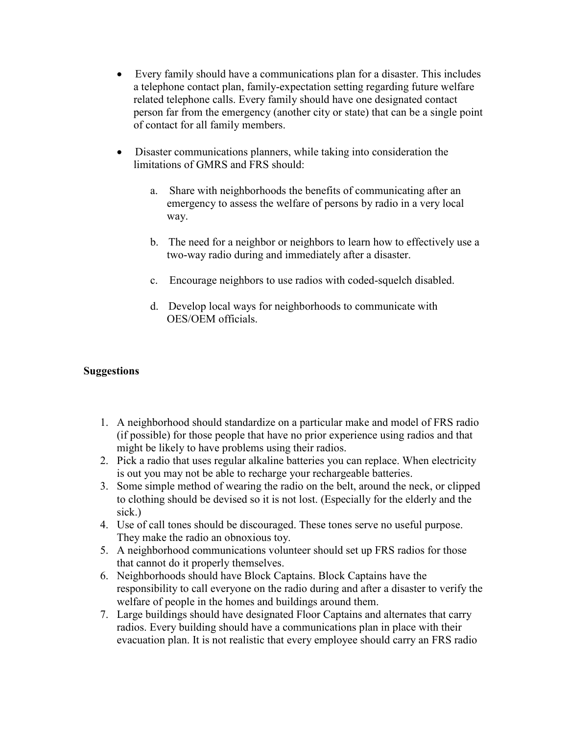- Every family should have a communications plan for a disaster. This includes a telephone contact plan, family-expectation setting regarding future welfare related telephone calls. Every family should have one designated contact person far from the emergency (another city or state) that can be a single point of contact for all family members.
- Disaster communications planners, while taking into consideration the limitations of GMRS and FRS should:
	- a. Share with neighborhoods the benefits of communicating after an emergency to assess the welfare of persons by radio in a very local way.
	- b. The need for a neighbor or neighbors to learn how to effectively use a two-way radio during and immediately after a disaster.
	- c. Encourage neighbors to use radios with coded-squelch disabled.
	- d. Develop local ways for neighborhoods to communicate with OES/OEM officials.

## **Suggestions**

- 1. A neighborhood should standardize on a particular make and model of FRS radio (if possible) for those people that have no prior experience using radios and that might be likely to have problems using their radios.
- 2. Pick a radio that uses regular alkaline batteries you can replace. When electricity is out you may not be able to recharge your rechargeable batteries.
- 3. Some simple method of wearing the radio on the belt, around the neck, or clipped to clothing should be devised so it is not lost. (Especially for the elderly and the sick.)
- 4. Use of call tones should be discouraged. These tones serve no useful purpose. They make the radio an obnoxious toy.
- 5. A neighborhood communications volunteer should set up FRS radios for those that cannot do it properly themselves.
- 6. Neighborhoods should have Block Captains. Block Captains have the responsibility to call everyone on the radio during and after a disaster to verify the welfare of people in the homes and buildings around them.
- 7. Large buildings should have designated Floor Captains and alternates that carry radios. Every building should have a communications plan in place with their evacuation plan. It is not realistic that every employee should carry an FRS radio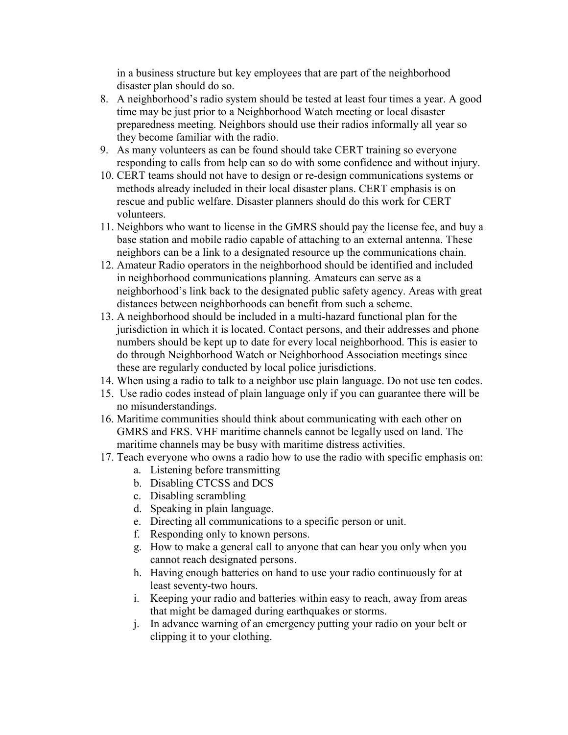in a business structure but key employees that are part of the neighborhood disaster plan should do so.

- 8. A neighborhood's radio system should be tested at least four times a year. A good time may be just prior to a Neighborhood Watch meeting or local disaster preparedness meeting. Neighbors should use their radios informally all year so they become familiar with the radio.
- 9. As many volunteers as can be found should take CERT training so everyone responding to calls from help can so do with some confidence and without injury.
- 10. CERT teams should not have to design or re-design communications systems or methods already included in their local disaster plans. CERT emphasis is on rescue and public welfare. Disaster planners should do this work for CERT volunteers.
- 11. Neighbors who want to license in the GMRS should pay the license fee, and buy a base station and mobile radio capable of attaching to an external antenna. These neighbors can be a link to a designated resource up the communications chain.
- 12. Amateur Radio operators in the neighborhood should be identified and included in neighborhood communications planning. Amateurs can serve as a neighborhood's link back to the designated public safety agency. Areas with great distances between neighborhoods can benefit from such a scheme.
- 13. A neighborhood should be included in a multi-hazard functional plan for the jurisdiction in which it is located. Contact persons, and their addresses and phone numbers should be kept up to date for every local neighborhood. This is easier to do through Neighborhood Watch or Neighborhood Association meetings since these are regularly conducted by local police jurisdictions.
- 14. When using a radio to talk to a neighbor use plain language. Do not use ten codes.
- 15. Use radio codes instead of plain language only if you can guarantee there will be no misunderstandings.
- 16. Maritime communities should think about communicating with each other on GMRS and FRS. VHF maritime channels cannot be legally used on land. The maritime channels may be busy with maritime distress activities.
- 17. Teach everyone who owns a radio how to use the radio with specific emphasis on:
	- a. Listening before transmitting
		- b. Disabling CTCSS and DCS
		- c. Disabling scrambling
		- d. Speaking in plain language.
		- e. Directing all communications to a specific person or unit.
		- f. Responding only to known persons.
		- g. How to make a general call to anyone that can hear you only when you cannot reach designated persons.
		- h. Having enough batteries on hand to use your radio continuously for at least seventy-two hours.
	- i. Keeping your radio and batteries within easy to reach, away from areas that might be damaged during earthquakes or storms.
	- j. In advance warning of an emergency putting your radio on your belt or clipping it to your clothing.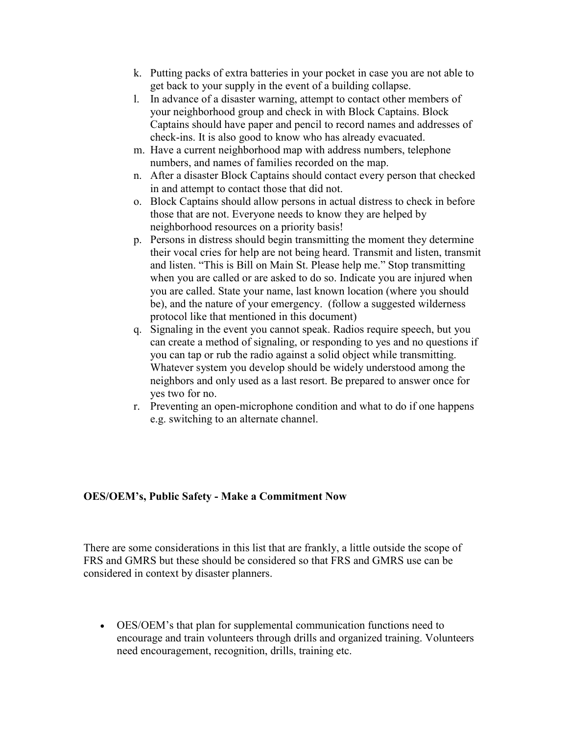- k. Putting packs of extra batteries in your pocket in case you are not able to get back to your supply in the event of a building collapse.
- l. In advance of a disaster warning, attempt to contact other members of your neighborhood group and check in with Block Captains. Block Captains should have paper and pencil to record names and addresses of check-ins. It is also good to know who has already evacuated.
- m. Have a current neighborhood map with address numbers, telephone numbers, and names of families recorded on the map.
- n. After a disaster Block Captains should contact every person that checked in and attempt to contact those that did not.
- o. Block Captains should allow persons in actual distress to check in before those that are not. Everyone needs to know they are helped by neighborhood resources on a priority basis!
- p. Persons in distress should begin transmitting the moment they determine their vocal cries for help are not being heard. Transmit and listen, transmit and listen. "This is Bill on Main St. Please help me." Stop transmitting when you are called or are asked to do so. Indicate you are injured when you are called. State your name, last known location (where you should be), and the nature of your emergency. (follow a suggested wilderness protocol like that mentioned in this document)
- q. Signaling in the event you cannot speak. Radios require speech, but you can create a method of signaling, or responding to yes and no questions if you can tap or rub the radio against a solid object while transmitting. Whatever system you develop should be widely understood among the neighbors and only used as a last resort. Be prepared to answer once for yes two for no.
- r. Preventing an open-microphone condition and what to do if one happens e.g. switching to an alternate channel.

#### OES/OEM's, Public Safety - Make a Commitment Now

There are some considerations in this list that are frankly, a little outside the scope of FRS and GMRS but these should be considered so that FRS and GMRS use can be considered in context by disaster planners.

• OES/OEM's that plan for supplemental communication functions need to encourage and train volunteers through drills and organized training. Volunteers need encouragement, recognition, drills, training etc.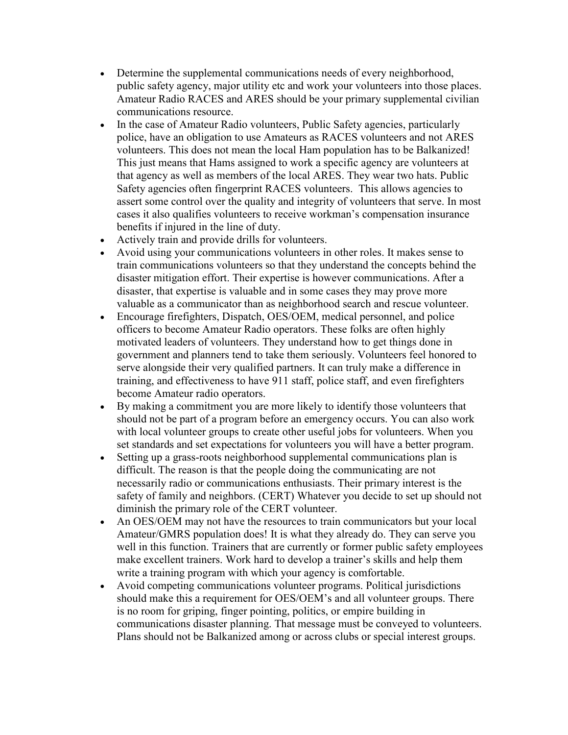- Determine the supplemental communications needs of every neighborhood, public safety agency, major utility etc and work your volunteers into those places. Amateur Radio RACES and ARES should be your primary supplemental civilian communications resource.
- In the case of Amateur Radio volunteers, Public Safety agencies, particularly police, have an obligation to use Amateurs as RACES volunteers and not ARES volunteers. This does not mean the local Ham population has to be Balkanized! This just means that Hams assigned to work a specific agency are volunteers at that agency as well as members of the local ARES. They wear two hats. Public Safety agencies often fingerprint RACES volunteers. This allows agencies to assert some control over the quality and integrity of volunteers that serve. In most cases it also qualifies volunteers to receive workman's compensation insurance benefits if injured in the line of duty.
- Actively train and provide drills for volunteers.
- Avoid using your communications volunteers in other roles. It makes sense to train communications volunteers so that they understand the concepts behind the disaster mitigation effort. Their expertise is however communications. After a disaster, that expertise is valuable and in some cases they may prove more valuable as a communicator than as neighborhood search and rescue volunteer.
- Encourage firefighters, Dispatch, OES/OEM, medical personnel, and police officers to become Amateur Radio operators. These folks are often highly motivated leaders of volunteers. They understand how to get things done in government and planners tend to take them seriously. Volunteers feel honored to serve alongside their very qualified partners. It can truly make a difference in training, and effectiveness to have 911 staff, police staff, and even firefighters become Amateur radio operators.
- By making a commitment you are more likely to identify those volunteers that should not be part of a program before an emergency occurs. You can also work with local volunteer groups to create other useful jobs for volunteers. When you set standards and set expectations for volunteers you will have a better program.
- Setting up a grass-roots neighborhood supplemental communications plan is difficult. The reason is that the people doing the communicating are not necessarily radio or communications enthusiasts. Their primary interest is the safety of family and neighbors. (CERT) Whatever you decide to set up should not diminish the primary role of the CERT volunteer.
- An OES/OEM may not have the resources to train communicators but your local Amateur/GMRS population does! It is what they already do. They can serve you well in this function. Trainers that are currently or former public safety employees make excellent trainers. Work hard to develop a trainer's skills and help them write a training program with which your agency is comfortable.
- Avoid competing communications volunteer programs. Political jurisdictions should make this a requirement for OES/OEM's and all volunteer groups. There is no room for griping, finger pointing, politics, or empire building in communications disaster planning. That message must be conveyed to volunteers. Plans should not be Balkanized among or across clubs or special interest groups.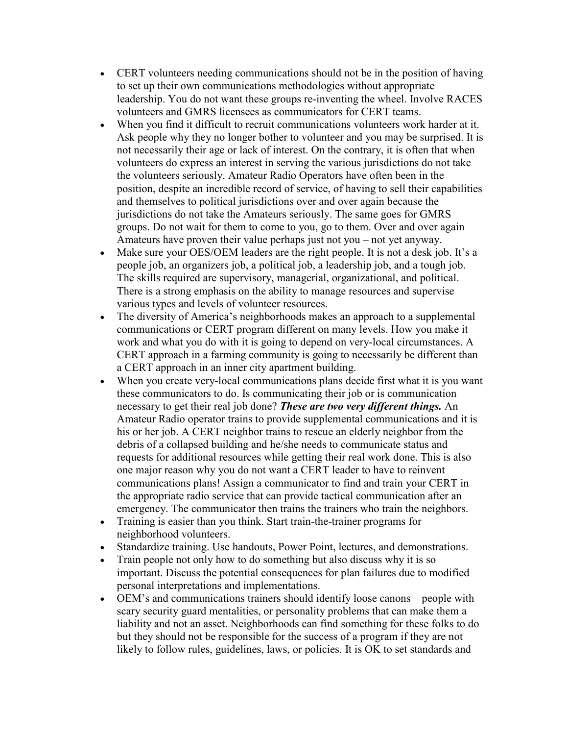- CERT volunteers needing communications should not be in the position of having to set up their own communications methodologies without appropriate leadership. You do not want these groups re-inventing the wheel. Involve RACES volunteers and GMRS licensees as communicators for CERT teams.
- When you find it difficult to recruit communications volunteers work harder at it. Ask people why they no longer bother to volunteer and you may be surprised. It is not necessarily their age or lack of interest. On the contrary, it is often that when volunteers do express an interest in serving the various jurisdictions do not take the volunteers seriously. Amateur Radio Operators have often been in the position, despite an incredible record of service, of having to sell their capabilities and themselves to political jurisdictions over and over again because the jurisdictions do not take the Amateurs seriously. The same goes for GMRS groups. Do not wait for them to come to you, go to them. Over and over again Amateurs have proven their value perhaps just not you – not yet anyway.
- Make sure your OES/OEM leaders are the right people. It is not a desk job. It's a people job, an organizers job, a political job, a leadership job, and a tough job. The skills required are supervisory, managerial, organizational, and political. There is a strong emphasis on the ability to manage resources and supervise various types and levels of volunteer resources.
- The diversity of America's neighborhoods makes an approach to a supplemental communications or CERT program different on many levels. How you make it work and what you do with it is going to depend on very-local circumstances. A CERT approach in a farming community is going to necessarily be different than a CERT approach in an inner city apartment building.
- When you create very-local communications plans decide first what it is you want these communicators to do. Is communicating their job or is communication necessary to get their real job done? These are two very different things. An Amateur Radio operator trains to provide supplemental communications and it is his or her job. A CERT neighbor trains to rescue an elderly neighbor from the debris of a collapsed building and he/she needs to communicate status and requests for additional resources while getting their real work done. This is also one major reason why you do not want a CERT leader to have to reinvent communications plans! Assign a communicator to find and train your CERT in the appropriate radio service that can provide tactical communication after an emergency. The communicator then trains the trainers who train the neighbors.
- Training is easier than you think. Start train-the-trainer programs for neighborhood volunteers.
- Standardize training. Use handouts, Power Point, lectures, and demonstrations.
- Train people not only how to do something but also discuss why it is so important. Discuss the potential consequences for plan failures due to modified personal interpretations and implementations.
- OEM's and communications trainers should identify loose canons people with scary security guard mentalities, or personality problems that can make them a liability and not an asset. Neighborhoods can find something for these folks to do but they should not be responsible for the success of a program if they are not likely to follow rules, guidelines, laws, or policies. It is OK to set standards and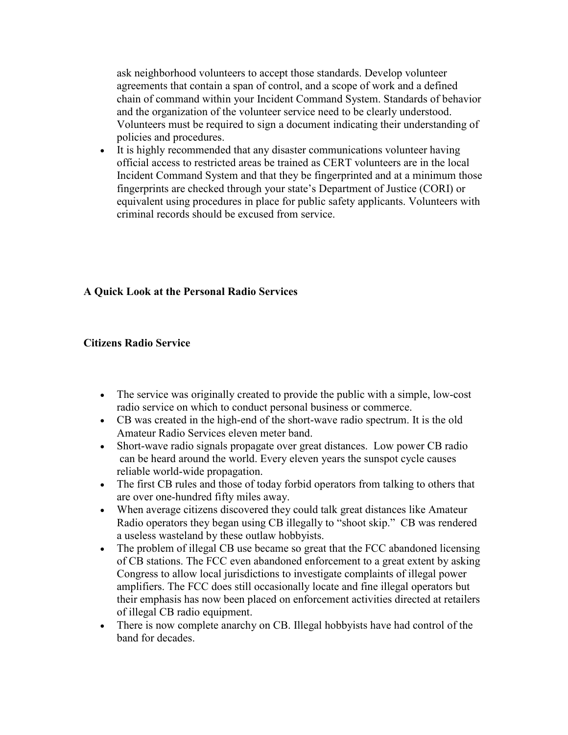ask neighborhood volunteers to accept those standards. Develop volunteer agreements that contain a span of control, and a scope of work and a defined chain of command within your Incident Command System. Standards of behavior and the organization of the volunteer service need to be clearly understood. Volunteers must be required to sign a document indicating their understanding of policies and procedures.

• It is highly recommended that any disaster communications volunteer having official access to restricted areas be trained as CERT volunteers are in the local Incident Command System and that they be fingerprinted and at a minimum those fingerprints are checked through your state's Department of Justice (CORI) or equivalent using procedures in place for public safety applicants. Volunteers with criminal records should be excused from service.

## A Quick Look at the Personal Radio Services

## Citizens Radio Service

- The service was originally created to provide the public with a simple, low-cost radio service on which to conduct personal business or commerce.
- CB was created in the high-end of the short-wave radio spectrum. It is the old Amateur Radio Services eleven meter band.
- Short-wave radio signals propagate over great distances. Low power CB radio can be heard around the world. Every eleven years the sunspot cycle causes reliable world-wide propagation.
- The first CB rules and those of today forbid operators from talking to others that are over one-hundred fifty miles away.
- When average citizens discovered they could talk great distances like Amateur Radio operators they began using CB illegally to "shoot skip." CB was rendered a useless wasteland by these outlaw hobbyists.
- The problem of illegal CB use became so great that the FCC abandoned licensing of CB stations. The FCC even abandoned enforcement to a great extent by asking Congress to allow local jurisdictions to investigate complaints of illegal power amplifiers. The FCC does still occasionally locate and fine illegal operators but their emphasis has now been placed on enforcement activities directed at retailers of illegal CB radio equipment.
- There is now complete anarchy on CB. Illegal hobbyists have had control of the band for decades.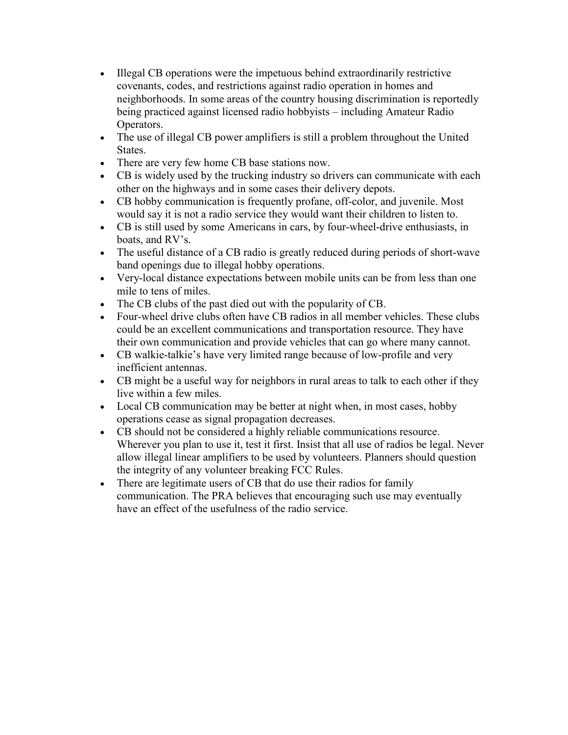- Illegal CB operations were the impetuous behind extraordinarily restrictive covenants, codes, and restrictions against radio operation in homes and neighborhoods. In some areas of the country housing discrimination is reportedly being practiced against licensed radio hobbyists – including Amateur Radio Operators.
- The use of illegal CB power amplifiers is still a problem throughout the United States.
- There are very few home CB base stations now.
- CB is widely used by the trucking industry so drivers can communicate with each other on the highways and in some cases their delivery depots.
- CB hobby communication is frequently profane, off-color, and juvenile. Most would say it is not a radio service they would want their children to listen to.
- CB is still used by some Americans in cars, by four-wheel-drive enthusiasts, in boats, and RV's.
- The useful distance of a CB radio is greatly reduced during periods of short-wave band openings due to illegal hobby operations.
- Very-local distance expectations between mobile units can be from less than one mile to tens of miles.
- The CB clubs of the past died out with the popularity of CB.
- Four-wheel drive clubs often have CB radios in all member vehicles. These clubs could be an excellent communications and transportation resource. They have their own communication and provide vehicles that can go where many cannot.
- CB walkie-talkie's have very limited range because of low-profile and very inefficient antennas.
- CB might be a useful way for neighbors in rural areas to talk to each other if they live within a few miles.
- Local CB communication may be better at night when, in most cases, hobby operations cease as signal propagation decreases.
- CB should not be considered a highly reliable communications resource. Wherever you plan to use it, test it first. Insist that all use of radios be legal. Never allow illegal linear amplifiers to be used by volunteers. Planners should question the integrity of any volunteer breaking FCC Rules.
- There are legitimate users of CB that do use their radios for family communication. The PRA believes that encouraging such use may eventually have an effect of the usefulness of the radio service.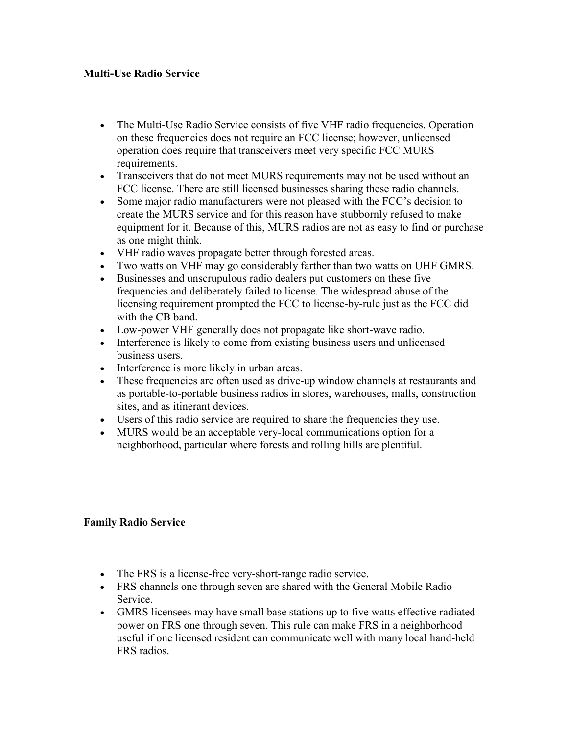## Multi-Use Radio Service

- The Multi-Use Radio Service consists of five VHF radio frequencies. Operation on these frequencies does not require an FCC license; however, unlicensed operation does require that transceivers meet very specific FCC MURS requirements.
- Transceivers that do not meet MURS requirements may not be used without an FCC license. There are still licensed businesses sharing these radio channels.
- Some major radio manufacturers were not pleased with the FCC's decision to create the MURS service and for this reason have stubbornly refused to make equipment for it. Because of this, MURS radios are not as easy to find or purchase as one might think.
- VHF radio waves propagate better through forested areas.
- Two watts on VHF may go considerably farther than two watts on UHF GMRS.
- Businesses and unscrupulous radio dealers put customers on these five frequencies and deliberately failed to license. The widespread abuse of the licensing requirement prompted the FCC to license-by-rule just as the FCC did with the CB band.
- Low-power VHF generally does not propagate like short-wave radio.
- Interference is likely to come from existing business users and unlicensed business users.
- Interference is more likely in urban areas.
- These frequencies are often used as drive-up window channels at restaurants and as portable-to-portable business radios in stores, warehouses, malls, construction sites, and as itinerant devices.
- Users of this radio service are required to share the frequencies they use.
- MURS would be an acceptable very-local communications option for a neighborhood, particular where forests and rolling hills are plentiful.

#### Family Radio Service

- The FRS is a license-free very-short-range radio service.
- FRS channels one through seven are shared with the General Mobile Radio Service.
- GMRS licensees may have small base stations up to five watts effective radiated power on FRS one through seven. This rule can make FRS in a neighborhood useful if one licensed resident can communicate well with many local hand-held FRS radios.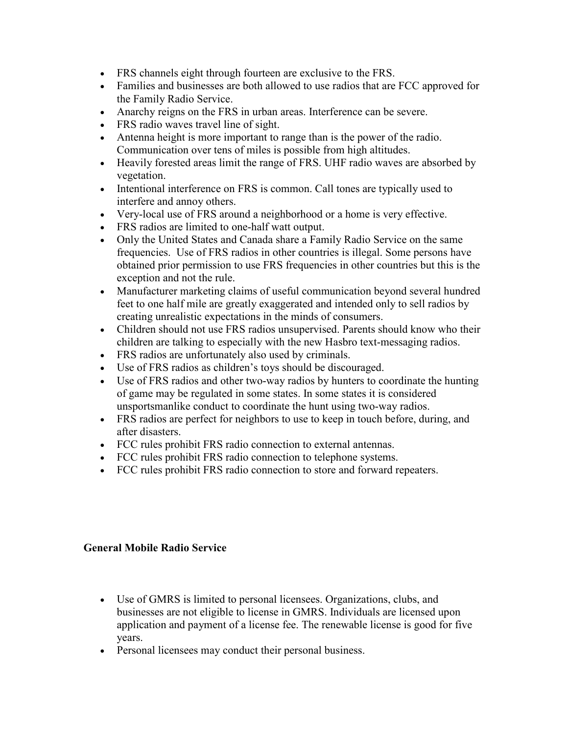- FRS channels eight through fourteen are exclusive to the FRS.
- Families and businesses are both allowed to use radios that are FCC approved for the Family Radio Service.
- Anarchy reigns on the FRS in urban areas. Interference can be severe.
- FRS radio waves travel line of sight.
- Antenna height is more important to range than is the power of the radio. Communication over tens of miles is possible from high altitudes.
- Heavily forested areas limit the range of FRS. UHF radio waves are absorbed by vegetation.
- Intentional interference on FRS is common. Call tones are typically used to interfere and annoy others.
- Very-local use of FRS around a neighborhood or a home is very effective.
- FRS radios are limited to one-half watt output.
- Only the United States and Canada share a Family Radio Service on the same frequencies. Use of FRS radios in other countries is illegal. Some persons have obtained prior permission to use FRS frequencies in other countries but this is the exception and not the rule.
- Manufacturer marketing claims of useful communication beyond several hundred feet to one half mile are greatly exaggerated and intended only to sell radios by creating unrealistic expectations in the minds of consumers.
- Children should not use FRS radios unsupervised. Parents should know who their children are talking to especially with the new Hasbro text-messaging radios.
- FRS radios are unfortunately also used by criminals.
- Use of FRS radios as children's toys should be discouraged.
- Use of FRS radios and other two-way radios by hunters to coordinate the hunting of game may be regulated in some states. In some states it is considered unsportsmanlike conduct to coordinate the hunt using two-way radios.
- FRS radios are perfect for neighbors to use to keep in touch before, during, and after disasters.
- FCC rules prohibit FRS radio connection to external antennas.
- FCC rules prohibit FRS radio connection to telephone systems.
- FCC rules prohibit FRS radio connection to store and forward repeaters.

## General Mobile Radio Service

- Use of GMRS is limited to personal licensees. Organizations, clubs, and businesses are not eligible to license in GMRS. Individuals are licensed upon application and payment of a license fee. The renewable license is good for five years.
- Personal licensees may conduct their personal business.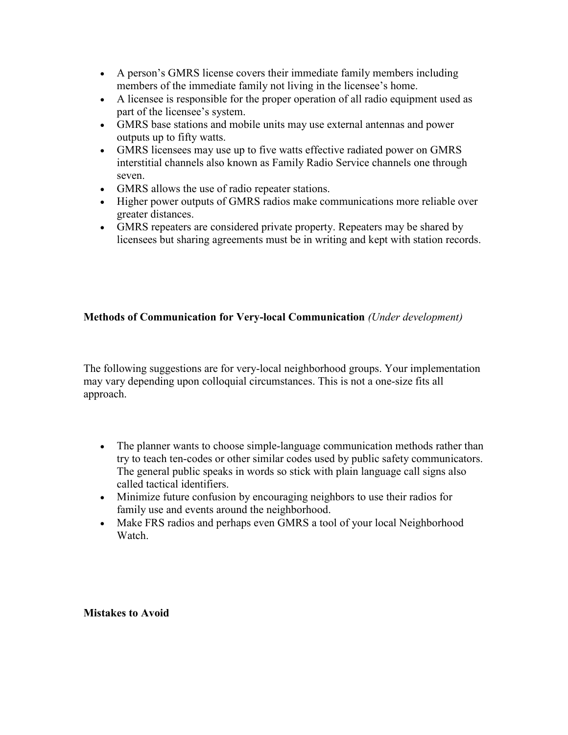- A person's GMRS license covers their immediate family members including members of the immediate family not living in the licensee's home.
- A licensee is responsible for the proper operation of all radio equipment used as part of the licensee's system.
- GMRS base stations and mobile units may use external antennas and power outputs up to fifty watts.
- GMRS licensees may use up to five watts effective radiated power on GMRS interstitial channels also known as Family Radio Service channels one through seven.
- GMRS allows the use of radio repeater stations.
- Higher power outputs of GMRS radios make communications more reliable over greater distances.
- GMRS repeaters are considered private property. Repeaters may be shared by licensees but sharing agreements must be in writing and kept with station records.

## Methods of Communication for Very-local Communication (Under development)

The following suggestions are for very-local neighborhood groups. Your implementation may vary depending upon colloquial circumstances. This is not a one-size fits all approach.

- The planner wants to choose simple-language communication methods rather than try to teach ten-codes or other similar codes used by public safety communicators. The general public speaks in words so stick with plain language call signs also called tactical identifiers.
- Minimize future confusion by encouraging neighbors to use their radios for family use and events around the neighborhood.
- Make FRS radios and perhaps even GMRS a tool of your local Neighborhood Watch.

Mistakes to Avoid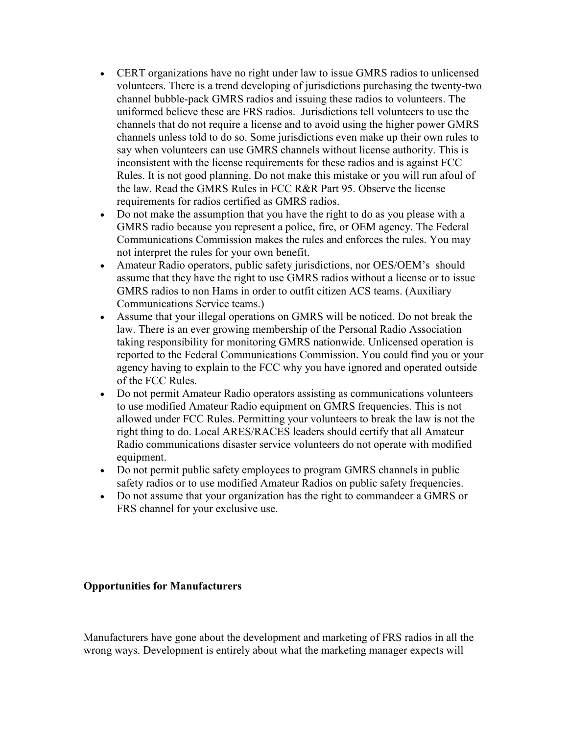- CERT organizations have no right under law to issue GMRS radios to unlicensed volunteers. There is a trend developing of jurisdictions purchasing the twenty-two channel bubble-pack GMRS radios and issuing these radios to volunteers. The uniformed believe these are FRS radios. Jurisdictions tell volunteers to use the channels that do not require a license and to avoid using the higher power GMRS channels unless told to do so. Some jurisdictions even make up their own rules to say when volunteers can use GMRS channels without license authority. This is inconsistent with the license requirements for these radios and is against FCC Rules. It is not good planning. Do not make this mistake or you will run afoul of the law. Read the GMRS Rules in FCC R&R Part 95. Observe the license requirements for radios certified as GMRS radios.
- Do not make the assumption that you have the right to do as you please with a GMRS radio because you represent a police, fire, or OEM agency. The Federal Communications Commission makes the rules and enforces the rules. You may not interpret the rules for your own benefit.
- Amateur Radio operators, public safety jurisdictions, nor OES/OEM's should assume that they have the right to use GMRS radios without a license or to issue GMRS radios to non Hams in order to outfit citizen ACS teams. (Auxiliary Communications Service teams.)
- Assume that your illegal operations on GMRS will be noticed. Do not break the law. There is an ever growing membership of the Personal Radio Association taking responsibility for monitoring GMRS nationwide. Unlicensed operation is reported to the Federal Communications Commission. You could find you or your agency having to explain to the FCC why you have ignored and operated outside of the FCC Rules.
- Do not permit Amateur Radio operators assisting as communications volunteers to use modified Amateur Radio equipment on GMRS frequencies. This is not allowed under FCC Rules. Permitting your volunteers to break the law is not the right thing to do. Local ARES/RACES leaders should certify that all Amateur Radio communications disaster service volunteers do not operate with modified equipment.
- Do not permit public safety employees to program GMRS channels in public safety radios or to use modified Amateur Radios on public safety frequencies.
- Do not assume that your organization has the right to commandeer a GMRS or FRS channel for your exclusive use.

## Opportunities for Manufacturers

Manufacturers have gone about the development and marketing of FRS radios in all the wrong ways. Development is entirely about what the marketing manager expects will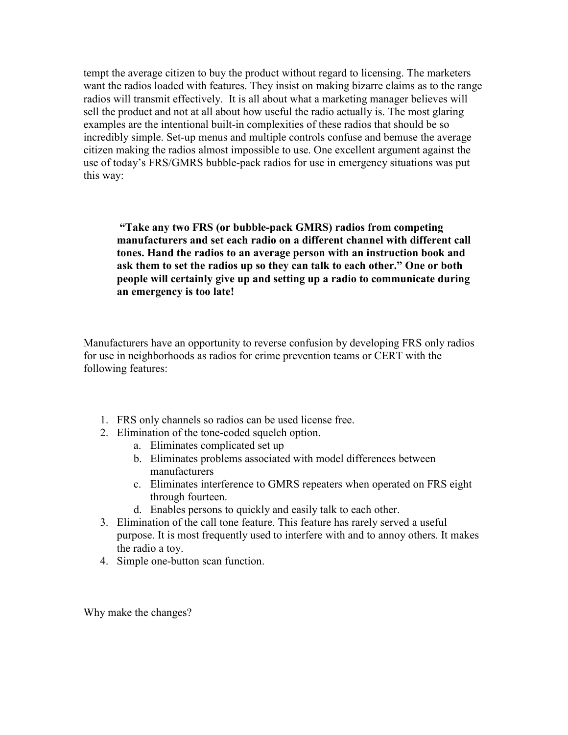tempt the average citizen to buy the product without regard to licensing. The marketers want the radios loaded with features. They insist on making bizarre claims as to the range radios will transmit effectively. It is all about what a marketing manager believes will sell the product and not at all about how useful the radio actually is. The most glaring examples are the intentional built-in complexities of these radios that should be so incredibly simple. Set-up menus and multiple controls confuse and bemuse the average citizen making the radios almost impossible to use. One excellent argument against the use of today's FRS/GMRS bubble-pack radios for use in emergency situations was put this way:

 "Take any two FRS (or bubble-pack GMRS) radios from competing manufacturers and set each radio on a different channel with different call tones. Hand the radios to an average person with an instruction book and ask them to set the radios up so they can talk to each other." One or both people will certainly give up and setting up a radio to communicate during an emergency is too late!

Manufacturers have an opportunity to reverse confusion by developing FRS only radios for use in neighborhoods as radios for crime prevention teams or CERT with the following features:

- 1. FRS only channels so radios can be used license free.
- 2. Elimination of the tone-coded squelch option.
	- a. Eliminates complicated set up
	- b. Eliminates problems associated with model differences between manufacturers
	- c. Eliminates interference to GMRS repeaters when operated on FRS eight through fourteen.
	- d. Enables persons to quickly and easily talk to each other.
- 3. Elimination of the call tone feature. This feature has rarely served a useful purpose. It is most frequently used to interfere with and to annoy others. It makes the radio a toy.
- 4. Simple one-button scan function.

Why make the changes?